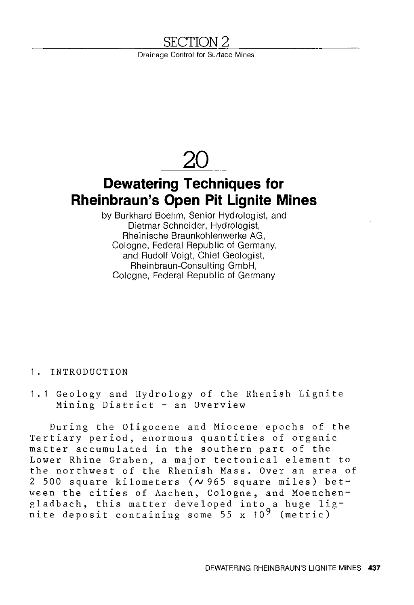# <u>SECTION 2</u>

Drainage Control for Surface Mines



Cologne, Federal Republic of Germany

# 1. INTRODUCTION

1. 1 Geology and Hydrology of the Rhenish Lignite Mining District - an Overview

During the Oligocene and Miocene epochs of the Tertiary period, enormous quantities of organic matter accumulated in the southern part of the Lower Rhine Graben, a major tectonical element to the northwest of the Rhenish Mass. Over an area of 2 500 square kilometers ( $\sim$  965 square miles) between the cities of Aachen, Cologne, and Moenchenech the creres of Aachen, corogne, and hockened<br>gladbach, this matter developed into a huge lig- $\frac{1}{2}$  and  $\frac{1}{2}$  are  $\frac{1}{2}$  are  $\frac{1}{2}$  and  $\frac{1}{2}$  and  $\frac{1}{2}$  (metric)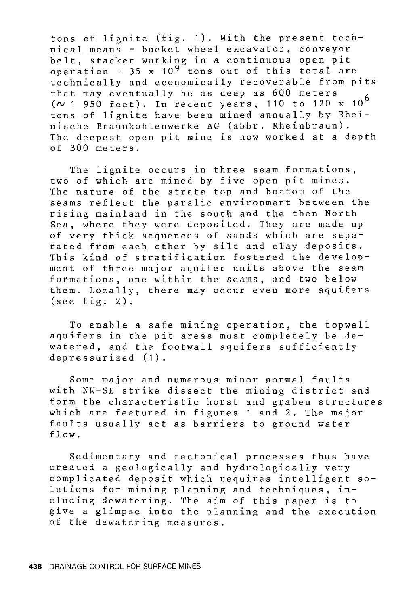tons of lignite (fig. 1). With the present technical means - bucket wheel excavator, conveyor belt, stacker working in a continuous open pit operation - 35 x  $10^{9}$  tons out of this total are technically and economically recoverable from pits that may eventually be as deep as 600 meters *(N* 1 950 feet). In recent years, 110 to 120 x 10 <sup>6</sup> tons of lignite have been mined annually by Rheinische Braunkohlenwerke AG (abbr. Rheinbraun). The deepest open pit mine is now worked at a depth of 300 meters.

The lignite occurs in three seam formations, two of which are mined by five open pit mines. The nature of the strata top and bottom of the seams reflect the paralic environment between the rising mainland in the south and the then North Sea, where they were deposited. They are made up of very thick sequences of sands which are separated from each other by silt and clay deposits. This kind of stratification fostered the development of three major aquifer units above the seam formations, one within the seams, and two below them. Locally, there may occur even more aquifers (see fig. 2).

To enable a safe mining operation, the topwall aquifers in the pit areas must completely be dewatered, and the footwall aquifers sufficiently depressurized (1).

Some major and numerous minor normal faults with NW-SE strike dissect the mining district and form the characteristic horst and graben structures which are featured in figures 1 and 2. The major faults usually act as barriers to ground water flow.

Sedimentary and tectonical processes thus have created a geologically and hydrologically very complicated deposit which requires intelligent solutions for mining planning and techniques, including dewatering. The aim of this paper is to give a glimpse into the planning and the execution of the dewatering measures.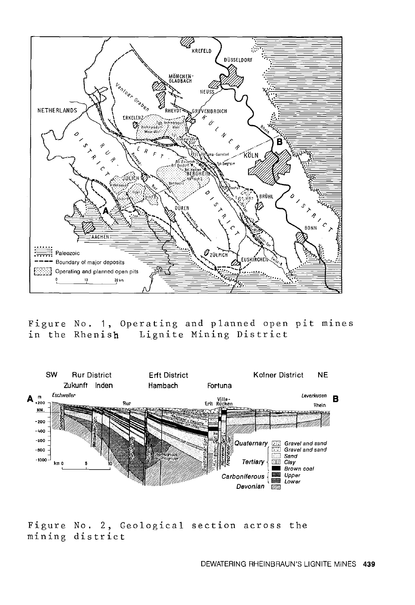![](_page_2_Figure_0.jpeg)

Figure No. 1, Operating and planned open pit mines in the Rhenish Lignite Mining District

![](_page_2_Figure_2.jpeg)

Figure No. 2, Geological section across the mining district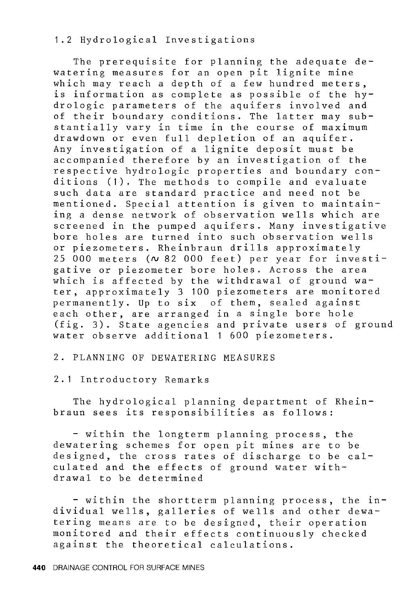# 1.2 Hydrological Investigations

The prerequisite for planning the adequate dewatering measures for an open pit lignite mine which may reach a depth of a few hundred meters, is information as complete as possible of the hydrologic parameters of the aquifers involved and of their boundary conditions. The latter may substantially vary in time in the course of maximum drawdown or even full depletion of an aquifer. Any investigation of a lignite deposit must be accompanied therefore by an investigation of the respective hydrologic properties and boundary conditions (1). The methods to compile and evaluate such data are standard practice and need not be mentioned. Special attention is given to maintaining a dense network of observation wells which are screened in the pumped aquifers. Many investigative bore holes are turned into such observation wells or piezometers. Rheinbraun drills approximately 25 000 meters *(N* 82 000 feet) per year for investigative or piezometer bore holes. Across the area which is affected by the withdrawal of ground water, approximately 3 100 piezometers are monitored permanently. Up to six of them, sealed against each other, are arranged in a single bore hole (fig. 3). State agencies and private users of ground water observe additional 1 600 piezometers.

# 2. PLANNING OF DEWATERING MEASURES

## 2.1 Introductory Remarks

The hydrological planning department of Rheinbraun sees its responsibilities as follows:

- within the longterm planning process, the dewatering schemes for open pit mines are to be designed, the cross rates of discharge to be calculated and the effects of ground water withdrawal to be determined

- within the shortterm planning process, the individual wells, galleries of wells and other dewatering means are to be designed, their operation monitored and their effects continuously checked against the theoretical calculations.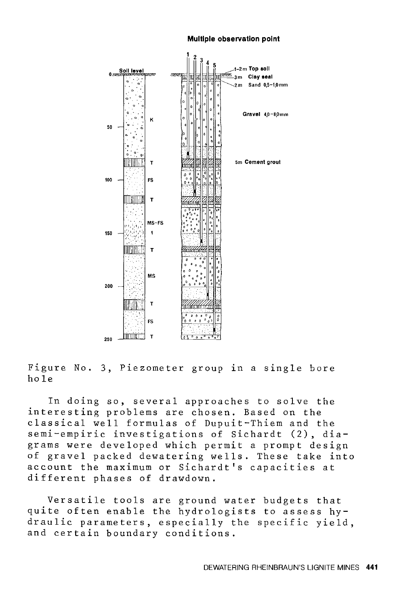#### **Multiple observation point**

![](_page_4_Figure_1.jpeg)

Figure No. 3, Piezometer group in a single bore hole

In doing so, several approaches to solve the interesting problems are chosen. Based on the classical well formulas of Dupuit-Thiem and the semi-empiric investigations of Sichardt (2), diagrams were developed which permit a prompt design of gravel packed dewatering wells. These take into account the maximum or Sichardt's capacities at different phases of drawdown.

Versatile tools are ground water budgets that quite often enable the hydrologists to assess hydraulic parameters, especially the specific yield, and certain boundary conditions.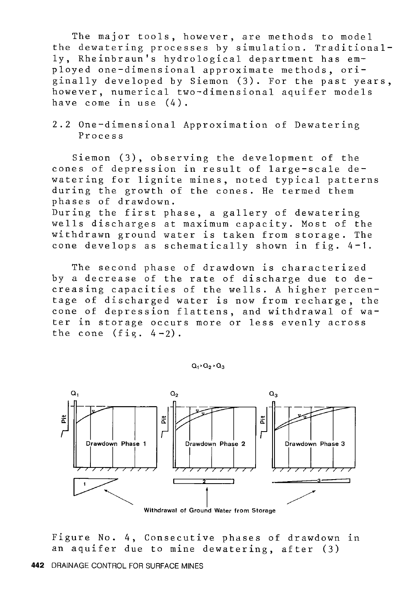The major tools, however, are methods to model the dewatering processes by simulation. Traditionally, Rheinbraun's hydrological department has employed one-dimensional approximate methods, originally developed by Siemon (3). For the past years, however, numerical two-dimensional aquifer models have come in use (4).

2.2 One-dimensional Approximation of Dewatering Process

Siemon (3), observing the development of the cones of depression in result of large-scale dewatering for lignite mines, noted typical patterns during the growth of the cones. He termed them phases of drawdown.

During the first phase, a gallery of dewatering wells discharges at maximum capacity. Most of the withdrawn ground water is taken from storage. The cone develops as schematically shown in fig. 4-1.

The second phase of drawdown is characterized by a decrease of the rate of discharge due to decreasing capacities of the wells. A higher percentage of discharged water is now from recharge, the cone of depression flattens, and withdrawal of water in storage occurs more or less evenly across the cone  $(fie, 4-2)$ .

 $Q_1$  >  $Q_2$  >  $Q_3$ 

![](_page_5_Figure_6.jpeg)

Withdrawal of Ground Water from Storage

Figure No. 4, Consecutive phases of drawdown in an aquifer due to mine dewatering, after (3)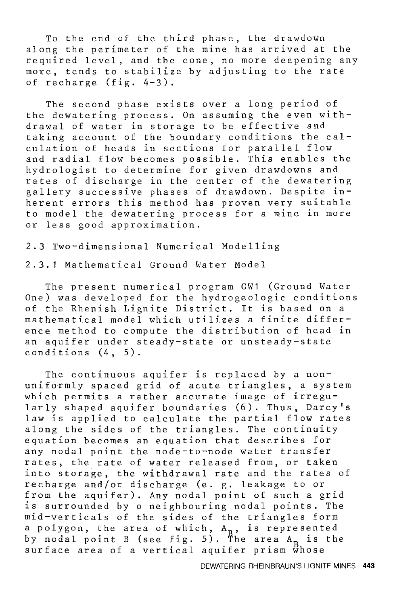To the end of the third phase, the drawdown along the perimeter of the mine has arrived at the required level, and the cone, no more deepening any more, tends to stabilize by adjusting to the rate of recharge (fig. 4-3).

The second phase exists over a long period of the dewatering process. On assuming the even withdrawal of water in storage to be effective and taking account of the boundary conditions the calculation of heads in sections for parallel flow and radial flow becomes possible. This enables the hydrologist to determine for given drawdowns and rates of discharge in the center of the dewatering gallery successive phases of drawdown. Despite inherent errors this method has proven very suitable to model the dewatering process for a mine in more or less good approximation.

2.3 Two-dimensional Numerical Modelling 2.3.1 Mathematical Ground Water Model

The present numerical program GW1 (Ground Water One) was developed for the hydrogeologic conditions of the Rhenish Lignite District. It is based on a mathematical model which utilizes a finite difference method to compute the distribution of head in an aquifer under steady-state or unsteady-state conditions (4, 5).

The continuous aquifer is replaced by a nonuniformly spaced grid of acute triangles, a system which permits a rather accurate image of irregularly shaped aquifer boundaries (6). Thus, Darcy's law is applied to calculate the partial flow rates along the sides of the triangles. The continuity equation becomes an equation that describes for any nodal point the node-to-node water transfer rates, the rate of water released from, or taken into storage, the withdrawal rate and the rates of recharge and/or discharge (e. g. leakage to or from the aquifer). Any nodal point of such a grid is surrounded by o neighbouring nodal points. The mid-verticals of the sides of the triangles form a polygon, the area of which, A<sub>R</sub>, is represented by nodal point B (see fig. 5). The area  $A_B$  is the surface area of a vertical aquifer prism whose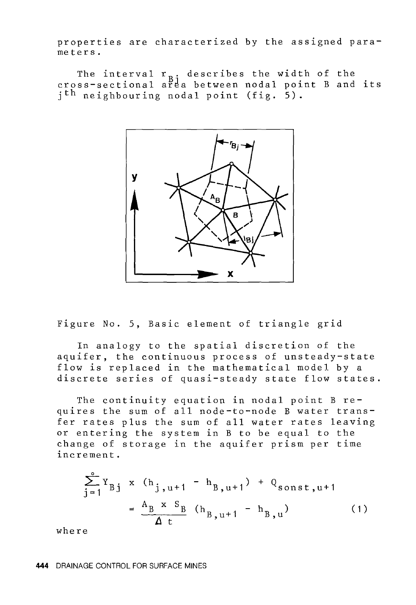properties are characterized by the assigned parameters.

The interval  $r_{p,i}$  describes the width of the cross-sectional area between nodal point B and its jth neighbouring nodal point (fig. 5).

![](_page_7_Figure_2.jpeg)

Figure No. 5, Basic element of triangle grid

In analogy to the spatial discretion of the aquifer, the continuous process of unsteady-state flow is replaced in the mathematical model by a discrete series of quasi-steady state flow states.

The continuity equation in nodal point B requires the sum of all node-to-node B water transfer rates plus the sum of all water rates leaving or entering the system in B to be equal to the change of storage in the aquifer prism per time increment.

$$
\sum_{j=1}^{8} Y_{Bj} \times (h_{j, u+1} - h_{B, u+1}) + Q_{sonst, u+1}
$$
  
=  $\frac{A_{B} \times S_{B}}{\Delta t} (h_{B, u+1} - h_{B, u})$  (1)

where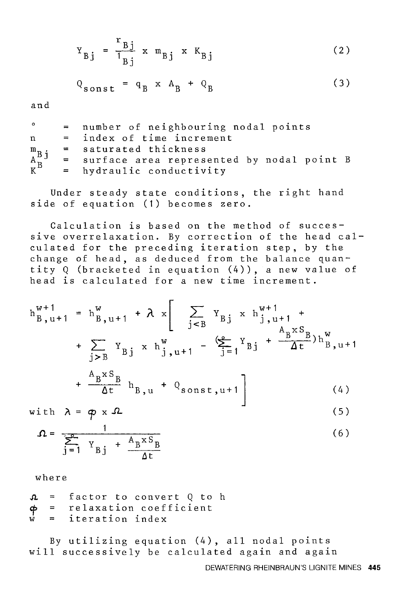$$
Y_{Bj} = \frac{r_{Bj}}{1_{Bj}} \times m_{Bj} \times K_{Bj}
$$
 (2)

$$
Q_{\text{sonst}} = q_B \times A_B + Q_B \tag{3}
$$

and

| $\circ$ | = number of neighbouring nodal points                                                                                                                                                              |
|---------|----------------------------------------------------------------------------------------------------------------------------------------------------------------------------------------------------|
| n       | = index of time increment                                                                                                                                                                          |
|         | = saturated thickness                                                                                                                                                                              |
|         | $\begin{array}{ccc} m_B & = & saturated \; thickness \\ A^B & = & surface \; area \; represents \; K^B & = & hydraulic \; conductivity \end{array}$<br>= surface area represented by nodal point B |
|         |                                                                                                                                                                                                    |

Under steady state conditions, the right hand side of equation (1) becomes zero.

Calculation is based on the method of successive overrelaxation. By correction of the head calculated for the preceding iteration step, by the change of head, as deduced from the balance quantity Q (bracketed in equation (4)), a new value of head is calculated for a new time increment.

$$
h_{B, u+1}^{w+1} = h_{B, u+1}^{w} + \lambda x \left[ \sum_{j < B} Y_{Bj} x h_{j, u+1}^{w+1} + \sum_{j > B} Y_{Bj} x h_{j, u+1}^{w+1} - \frac{A_{B} x S_{B}}{j} h_{B, u+1}^{w} \right]
$$

$$
+\frac{A_{B}^{X S_{B}}}{\Delta t} h_{B,u} + Q_{sonst,u+1}
$$
 (4)

with 
$$
\lambda = \phi \times \Omega
$$
 (5)

$$
\Omega = \frac{1}{\sum_{j=1}^{8} Y_{Bj} + \frac{A_B x S_B}{\Delta t}}
$$
(6)

where

 $\mathfrak{D}$ factor to convert Q to h relaxation coefficient  $\frac{\phi}{w}$ iteration index

By utilizing equation (4), all nodal points will successively be calculated again and again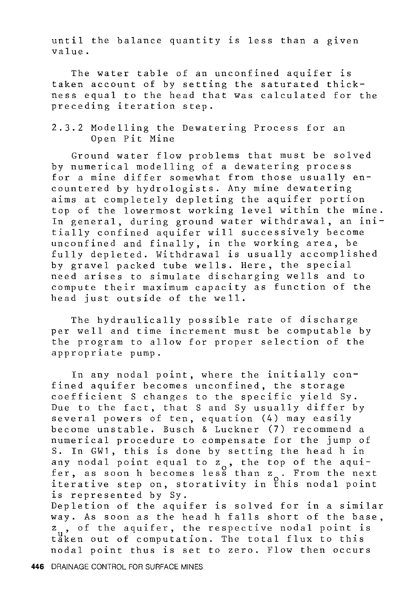until the balance quantity is less than a given value.

The water table of an unconfined aquifer is taken account of by setting the saturated thickness equal to the head that was calculated for the preceding iteration step.

2.3.2 Modelling the Dewatering Process for an Open Pit Mine

Ground water flow problems that must be solved by numerical modelling of a dewatering process for a mine differ somewhat from those usually encountered by hydrologists. Any mine dewatering aims at completely depleting the aquifer portion top of the lowermost working level within the mine. In general, during ground water withdrawal, an initially confined aquifer will successively become unconfined and finally, in the working area, be fully depleted. Withdrawal is usually accomplished by gravel packed tube wells. Here, the special need arises to simulate discharging wells and to compute their maximum capacity as function of the head just outside of the well.

The hydraulically possible rate of discharge per well and time increment must be computable by the program to allow for proper selection of the appropriate pump.

In any nodal point, where the initially confined aquifer becomes unconfined, the storage coefficient S changes to the specific yield Sy. Due to the fact, that S and Sy usually differ by several powers of ten, equation (4) may easily become unstable. Busch & Luckner (7) recommend a numerical procedure to compensate for the jump of S. In GW1, this is done by setting the head h in any nodal point equal to  $z_0$ , the top of the aqui-<br>fer, as soon h becomes less than  $z_0$ . From the next iterative step on, storativity in this nodal point is represented by Sy. Depletion of the aquifer is solved for in a similar way. As soon as the head h falls short of the base, z<sub>u</sub>, of the aquifer, the respective nodal point is

taken out of computation. The total flux to this nodal point thus is set to zero. Flow then occurs

**446** DRAINAGE CONTROL FOR SURFACE MINES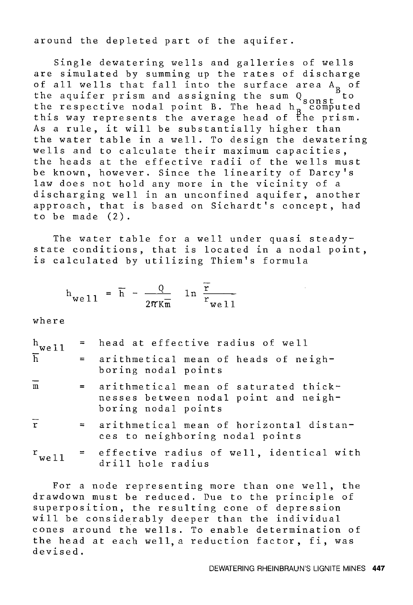around the depleted part of the aquifer.

Single dewatering wells and galleries of wells are simulated by summing up the rates of discharge of all wells that fall into the surface area  $A_B$  of<br>the aquifer prism and assigning the sum  $Q_{\text{max}}$  to the aquifer prism and assigning the sum  $Q_{\mathtt{const}}^{\mathtt{B}}$ to the respective nodal point B. The head  $h_{\text{R}}$  computed this way represents the average head of the prism. As a rule, it will be substantially higher than the water table in a well. To design the dewatering wells and to calculate their maximum capacities, the heads at the effective radii of the wells must be known, however. Since the linearity of Darcy's law does not hold any more in the vicinity of a discharging well in an unconfined aquifer, another approach, that is based on Sichardt's concept, had to be made (2).

The water table for a well under quasi steadystate conditions, that is located in a nodal point, is calculated by utilizing Thiem's formula

$$
h_{\text{well}} = \overline{h} - \frac{Q}{2\pi\kappa\overline{m}} \quad \ln \frac{\overline{r}}{r_{\text{well}}}
$$

where

| $\frac{h}{h}$ we 11     |         | = head at effective radius of well                                                                    |
|-------------------------|---------|-------------------------------------------------------------------------------------------------------|
|                         |         | = arithmetical mean of heads of neigh-<br>boring nodal points                                         |
| $\overline{m}$          | $=$ $-$ | arithmetical mean of saturated thick-<br>nesses between nodal point and neigh-<br>boring nodal points |
| $\overline{\mathbf{r}}$ |         | = arithmetical mean of horizontal distan-<br>ces to neighboring nodal points                          |
| $r$ <sub>well</sub>     |         | = effective radius of well, identical with<br>drill hole radius                                       |

For a node representing more than one well, the drawdown must be reduced. Due to the principle of superposition, the resulting cone of depression will be considerably deeper than the individual cones around the wells. To enable determination of the head at each well, a reduction factor, fi, was devised.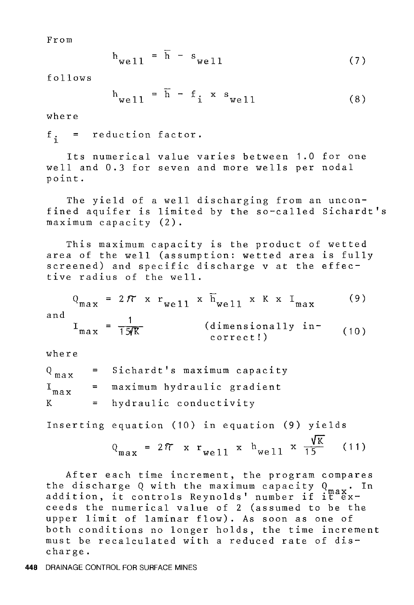From

$$
h_{\text{well}} = \overline{h} - s_{\text{well}} \tag{7}
$$

follows

$$
h_{\text{well}} = \overline{h} - f_i \times s_{\text{well}} \tag{8}
$$

where

 $f_i$  = reduction factor.

Its numerical value varies between 1.0 for one well and 0.3 for seven and more wells per nodal point.

The yield of a well discharging from an unconfined aquifer is limited by the so-called Sichardt's maximum capacity (2).

This maximum capacity is the product of wetted area of the well (assumption: wetted area is fully screened) and specific discharge v at the effective radius of the well.

$$
Q_{\text{max}} = 2\pi \times r_{\text{well}} \times \overline{h}_{\text{well}} \times K \times I_{\text{max}}
$$
(9)  
and  

$$
I_{\text{max}} = \frac{1}{15/K}
$$
 (dimensionally in-  
correct!) (10)

where

 $Q_{max}$  = Sichardt's maximum capacity  $I_{max}$  = maximum hydraulic gradient  $K =$  hydraulic conductivity

Inserting equation (10) in equation (9) yields

$$
Q_{\text{max}} = 2\pi \times r_{\text{well}} \times h_{\text{well}} \times \frac{\sqrt{K}}{15} \quad (11)
$$

After each time increment, the program compares the discharge Q with the maximum capacity  $Q_{max}$ . In the discharge Q with the maximum capacity Q max.<br>addition, it controls Reynolds' number if it exceeds the numerical value of 2 (assumed to be the upper limit of laminar flow). As soon as one of both conditions no longer holds, the time increment must be recalculated with a reduced rate of discharge.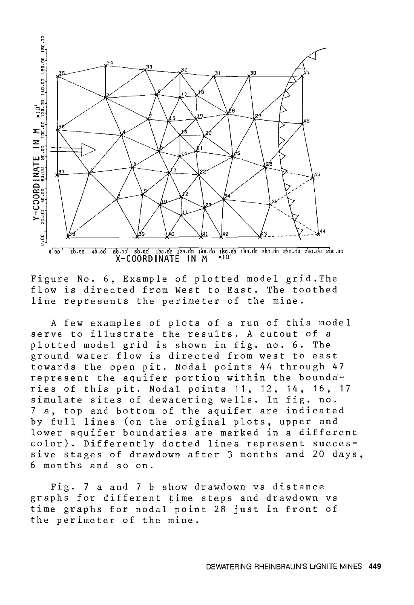![](_page_12_Figure_0.jpeg)

Figure No. 6, Example of plotted model grid.The flow is directed from West to East. The toothed line represents the perimeter of the mine.

A few examples of plots of a run of this model serve to illustrate the results. A cutout of a plotted model grid is shown in fig. no. 6. The ground water flow is directed from west to east towards the open pit. Nodal points 44 through 47 represent the aquifer portion within the boundaries of this pit. Nodal points 11, 12, 14, 16, 17 simulate sites of dewatering wells. In fig. no. 7 a, top and bottom of the aquifer are indicated by full lines (on the original plots, upper and lower aquifer boundaries are marked in a different color). Differently dotted lines represent successive stages of drawdown after 3 months and 20 days, 6 months and so on.

Fig. 7 a and 7 b show drawdown vs distance graphs for different time steps and drawdown vs time graphs for nodal.point 28 just in front of the perimeter of the mine.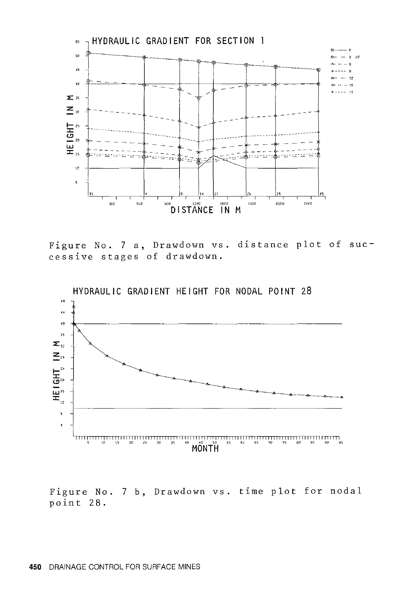![](_page_13_Figure_0.jpeg)

Figure No. 7 a, Drawdown vs. distance plot of successive stages of drawdown.

![](_page_13_Figure_2.jpeg)

HYDRAULIC GRADIENT HEIGHT FOR NODAL POINT 28

Figure No. 7 b, Drawdown vs. time plot for nodal point 28.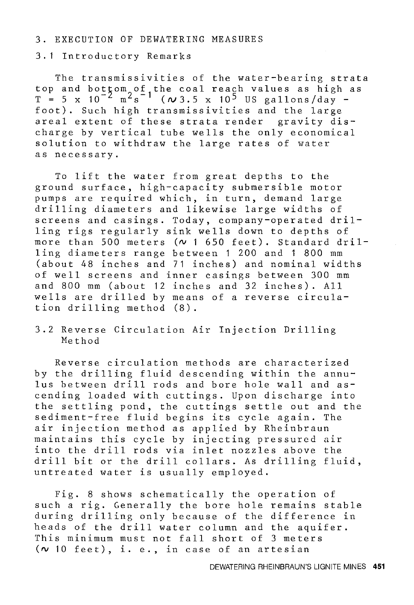# 3. EXECUTION OF DEWATERING MEASURES

3. 1 Introductory Remarks

The transmissivities of the water-bearing strata top and bottom of the coal reach values as high as  $T = 5 \times 10^{-2} \text{ m}^2 \text{s}^{-1}$  ( $\omega$ 3.5 x 10<sup>5</sup> US gallons/day foot). Such high transmissivities and the large areal extent of these strata render gravity discharge by vertical tube wells the only economical solution to withdraw the large rates of water as necessary.

To lift the water from great depths to the ground surface, high-capacity submersible motor pumps are required which, in turn, demand large drilling diameters and likewise large widths of screens and casings. Today, company-operated drilling rigs regularly sink wells down to depths of more than 500 meters ( $\sim$  1 650 feet). Standard drilling diameters range between 1 200 and 1 800 mm (about 48 inches and 71 inches) and nominal widths of well screens and inner casings between 300 mm and 800 mm (about 12 inches and 32 inches). All wells are drilled by means of a reverse circulation drilling method (8).

3.2 Reverse Circulation Air Injection Drilling Method

Reverse circulation methods are characterized by the drilling fluid descending within the annulus between drill rods and bore hole wall and ascending loaded with cuttings. Upon discharge into the settling pond, the cuttings settle out and the sediment-free fluid begins its cycle again. The air injection method as applied by Rheinbraun maintains this cycle by injecting pressured air into the drill rods via inlet nozzles above the drill bit or the drill collars. As drilling fluid, untreated water is usually employed.

Fig. 8 shows schematically the operation of such a rig. Generally the bore hole remains stable during drilling only because of the difference in heads of the drill water column and the aquifer. This minimum must not fall short of 3 meters  $(v 10 \text{ feet}), i. e., in case of an artesian$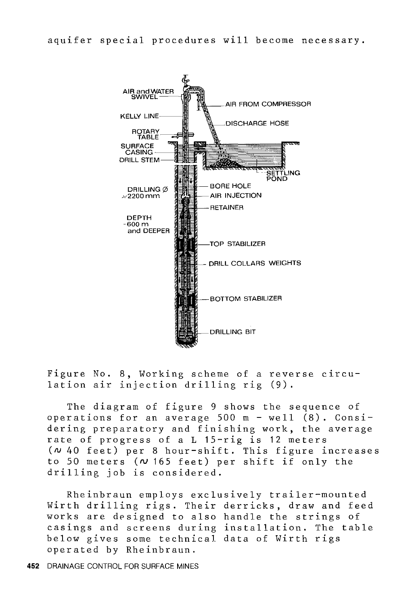![](_page_15_Figure_1.jpeg)

Figure No. 8, Working scheme of a reverse circulation air injection drilling rig (9).

The diagram of figure 9 shows the sequence of operations for an average 500 m - well (8). Considering preparatory and finishing work, the average rate of progress of a L 15-rig is 12 meters *(N* 40 feet) per 8 hour-shift. This figure increases to 50 meters *(N* 165 feet) per shift if only the drilling job is considered.

Rheinbraun employs exclusively trailer-mounted Wirth drilling rigs. Their derricks, draw and feed works are designed to also handle the strings of casings and screens during installation. The table below gives some technical data of Wirth rigs operated by Rheinbraun.

**452** DRAINAGE CONTROL FOR SURFACE MINES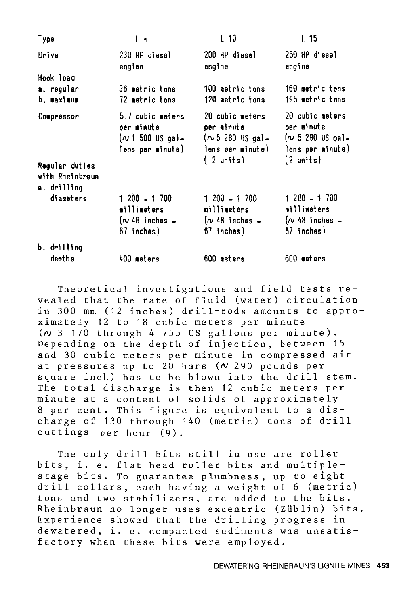| Type                                            | L <sub>4</sub>                                                        | L 10                                                                                        | L 15                                                                                       |
|-------------------------------------------------|-----------------------------------------------------------------------|---------------------------------------------------------------------------------------------|--------------------------------------------------------------------------------------------|
| Drive                                           | 230 HP diesel<br>engine                                               | 200 HP diesel<br>engine                                                                     | 250 HP diesel<br>engine                                                                    |
| Hook load                                       |                                                                       |                                                                                             |                                                                                            |
| a. regular<br>b. maximum                        | 36 metric tons<br>72 metric tons                                      | 100 metric tons<br>120 metric tons                                                          | 160 metric tons<br>195 metric tons                                                         |
| Compressor<br>Regular duties<br>with Rheinbraun | 5.7 cubic meters<br>per minute<br>(∿1 500 US gal=<br>lons per minute) | 20 cubic meters<br>per minute<br>$(\sim 5, 280, 0)$ s gal-<br>lons per minute)<br>(2 units) | 20 cubic meters<br>per minute<br>$(\sim 5\,280\,$ US gal-<br>lons per minute)<br>(2 units) |
| a. drilling                                     |                                                                       |                                                                                             |                                                                                            |
| diameters                                       | $1200 - 1700$<br>millimeters<br>$(\sim 48$ inches $-$<br>67 inches)   | 1 200 - 1 700<br>millimeters<br>$(\sim 48$ inches $-$<br>67 inches)                         | 1 200 - 1 700<br>millimeters<br>$(\nu$ 48 inches $-$<br>67 inches)                         |
| b. drilling                                     |                                                                       |                                                                                             |                                                                                            |
| depths                                          | 400 meters                                                            | 600 meters                                                                                  | 600 meters                                                                                 |

Theoretical investigations and field tests revealed that the rate of fluid (water) circulation in 300 mm (12 inches) drill-rods amounts to approximately 12 to 18 cubic meters per minute *(N* 3 170 through 4 755 US gallons per minute). Depending on the depth of injection, between 15 and 30 cubic meters per minute in compressed air at pressures up to 20 bars *(N* 290 pounds per square inch) has to be blown into the drill stem. The total discharge is then 12 cubic meters per minute at a content of solids of approximately 8 per cent. This figure is equivalent to a discharge of 130 through 140 (metric) tons of drill cuttings per hour (9).

The only drill bits still in use are roller bits, i. e. flat head roller bits and multiplestage bits. To guarantee plumbness, up to eight drill collars, each having a weight of 6 (metric) tons and two stabilizers, are added to the bits. Rheinbraun no longer uses excentric (Züblin) bits. Experience showed that the drilling progress in dewatered, i. e. compacted sediments was unsatisfactory when these bits were employed.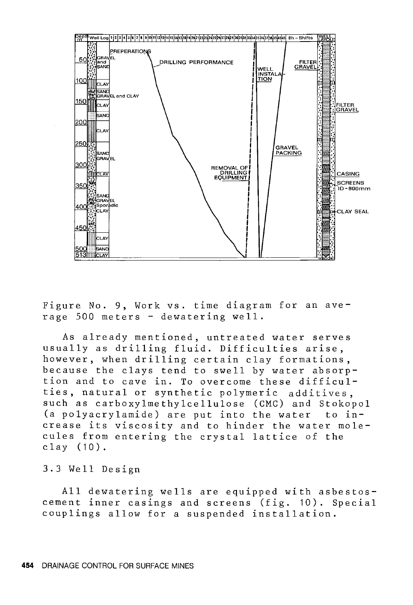![](_page_17_Figure_0.jpeg)

Figure No. 9, Work vs. time diagram for an average 500 meters - dewatering well.

As already mentioned, untreated water serves usually as drilling fluid. Difficulties arise, however, when drilling certain clay formations, because the clays tend to swell by water absorption and to cave in. To overcome these difficulties, natural or synthetic polymeric additives, such as carboxylmethylcellulose (CMC) and Stokopol (a polyacrylamide) are put into the water to increase its viscosity and to hinder the water molecules from entering the crystal lattice of the clay (10).

# 3.3 Well Design

All dewatering wells are equipped with asbestoscement inner casings and screens (fig. 10). Special couplings allow for a suspended installation.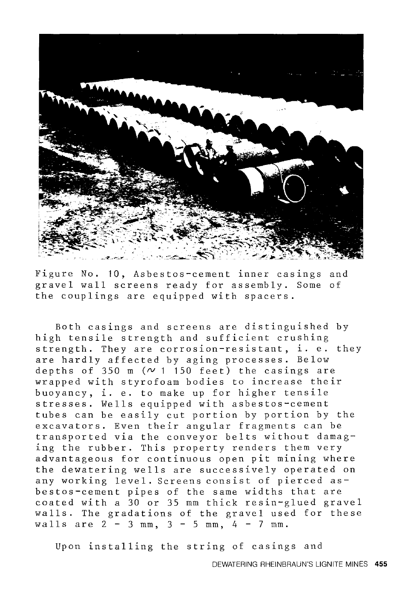![](_page_18_Picture_0.jpeg)

Figure No. 10, Asbestos-cement inner casings and gravel wall screens ready for assembly. Some of the couplings are equipped with spacers.

Both casings and screens are distinguished by high tensile strength and sufficient crushing strength. They are corrosion-resistant, i. e. they are hardly affected by aging processes. Below depths of 350 m  $(\sim 1$  150 feet) the casings are wrapped with styrofoam bodies to increase their buoyancy, i. e. to make up for higher tensile stresses. Wells equipped with asbestos-cement tubes can be easily cut portion by portion by the excavators. Even their angular fragments can be transported via the conveyor belts without damaging the rubber. This property renders them very advantageous for continuous open pit mining where the dewatering wells are successively operated on any working level. Screens consist of pierced asbestos-cement pipes of the same widths that are coated with a 30 or 35 mm thick resin-glued gravel walls. The gradations of the gravel used for these walls are  $2 - 3$  mm,  $3 - 5$  mm,  $4 - 7$  mm.

Upon installing the string of casings and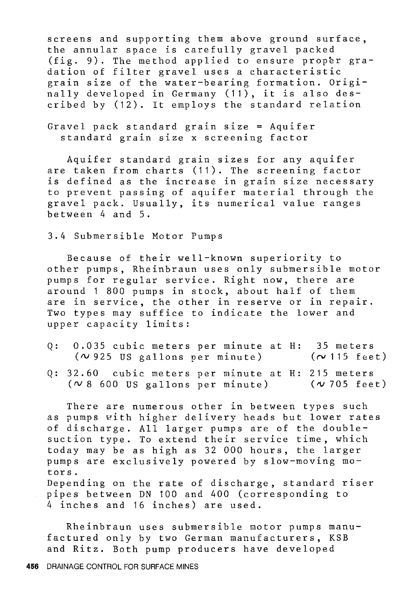screens and supporting them above ground surface, the annular space is carefully gravel packed (fig. 9). The method applied to ensure proper gradation of filter gravel uses a characteristic grain size of the water-bearing formation. Originally developed in Germany (11), it is also described by (12). It employs the standard relation

Gravel pack standard grain size = Aquifer standard grain size x screening factor

Aquifer standard grain sizes for any aquifer are taken from charts (11). The screening factor is defined as the increase in grain size necessary to prevent passing of aquifer material through the gravel pack. Usually, its numerical value ranges between 4 and 5.

3.4 Submersible Motor Pumps

Because of their well-known superiority to other pumps, Rheinbraun uses only submersible motor pumps for regular service. Right now, there are around 1 800 pumps in stock, about half of them are in service, the other in reserve or in repair. Two types may suffice to indicate the lower and upper capacity limits:

- Q: 0.035 cubic meters per minute at H: 35 meters  $(\sim$  925 US gallons per minute)  $(\sim 115$  feet)
- Q: 32.60 cubic meters per minute at H: 215 meters  $(\sim 8, 600, \text{US}$  gallons per minute)  $(v 705$  feet)

There are numerous other in between types such as pumps with higher delivery heads but lower rates of discharge. All larger pumps are of the doublesuction type. To extend their service time, which today may be as high as 32 000 hours, the larger pumps are exclusively powered by slow-moving motors. Depending on the rate of discharge, standard riser pipes between DN 100 and 400 (corresponding to

4 inches and 16 inches) are used.

Rheinbraun uses submersible motor pumps manufactured only by two German manufacturers, KSB and Ritz. Both pump producers have developed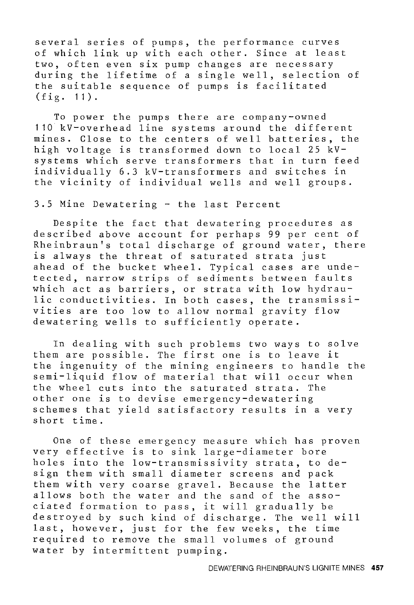several series of pumps, the performance curves of which link up with each other. Since at least two, often even six pump changes are necessary during the lifetime of a single well, selection of the suitable sequence of pumps is facilitated (fig. 11).

To power the pumps there are company-owned 110 kV-overhead line systems around the different mines. Close to the centers of well batteries, the high voltage is transformed down to local 25 kVsystems which serve transformers that in turn feed individually 6.3 kV-transformers and switches in the vicinity of individual wells and well groups.

3.5 Mine Dewatering - the last Percent

Despite the fact that dewatering procedures as described above account for perhaps 99 per cent of Rheinbraun's total discharge of ground water, there is always the threat of saturated strata just ahead of the bucket wheel. Typical cases are undetected, narrow strips of sediments between faults which act as barriers, or strata with low hydraulic conductivities. In both cases, the transmissivities are too low to allow normal gravity flow dewatering wells to sufficiently operate.

In dealing with such problems two ways to solve them are possible. The first one is to leave it the ingenuity of the mining engineers to handle the semi-liquid flow of material that will occur when the wheel cuts into the saturated strata. The other one is to devise emergency-dewatering schemes that yield satisfactory results in a very short time.

One of these emergency measure which has proven very effective is to sink large-diameter bore holes into the low-transmissivity strata, to design them with small diameter screens and pack them with very coarse gravel. Because the latter allows both the water and the sand of the associated formation to pass, it will gradually be destroyed by such kind of discharge. The well will last, however, just for the few weeks, the time required to remove the small volumes of ground water by intermittent pumping.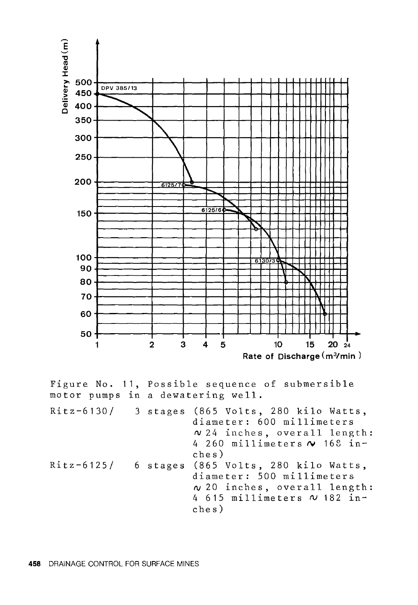![](_page_21_Figure_0.jpeg)

Figure No. 11, Possible sequence of submersible motor pumps in a dewatering well. Ritz-6130/ 3 stages (865 Volts, 280 kilo Watts, Ritz-6125/ 6 stages (865 Volts, 280 kilo Watts, diameter: 600 millimeters  $v$  24 inches, overall length: 4 260 millimeters **f\J** 168 inches) diameter: 500 millimeters *<sup>N</sup>*20 inches, overall length: 4 615 millimeters *N* 182 inches)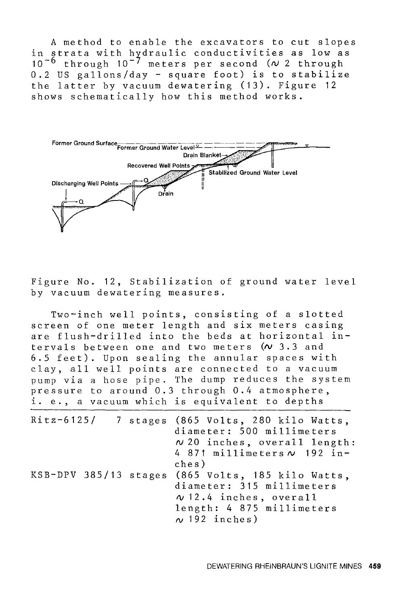A method to enable the excavators to cut slopes in strata with hydraulic conductivities as low as 10-6 through 10-7 meters per second *(N* 2 through 0.2 US gallons/day - square foot) is to stabilize the latter by vacuum dewatering (13). Figure 12 shows schematically how this method works.

![](_page_22_Figure_1.jpeg)

Figure No. 12, Stabilization of ground water level by vacuum dewatering measures.

Two-inch well points, consisting of a slotted screen of one meter length and six meters casing are flush-drilled into the beds at horizontal intervals between one and two meters *(N* 3.3 and 6.5 feet). Upon sealing the annular spaces with clay, all well points are connected to a vacuum pump via a hose pipe. The dump reduces the system pressure to around 0.3 through 0.4 atmosphere, i. e., a vacuum which is equivalent to depths

|  | Ritz-6125/ 7 stages (865 Volts, 280 kilo Watts,<br>diameter: 500 millimeters<br>$\sim$ 20 inches, overall length:<br>4 871 millimeters $\sim$ 192 in-<br>ches)     |
|--|--------------------------------------------------------------------------------------------------------------------------------------------------------------------|
|  | KSB-DPV 385/13 stages (865 Volts, 185 kilo Watts,<br>diameter: 315 millimeters<br>$\sqrt{12.4}$ inches, overall<br>length: 4 875 millimeters<br>$\sim$ 192 inches) |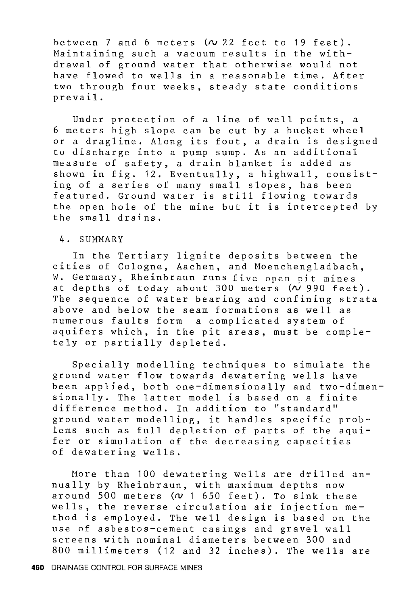between  $7$  and  $6$  meters  $(\sim 22$  feet to 19 feet). Maintaining such a vacuum results in the withdrawal of ground water that otherwise would not have flowed to wells in a reasonable time. After two through four weeks, steady state conditions prevail.

Under protection of a line of well points, a 6 meters high slope can be cut by a bucket wheel or a dragline. Along its foot, a drain is designed to discharge into a pump sump. As an additional measure of safety, a drain blanket is added as shown in fig. 12. Eventually, a highwall, consisting of a series of many small slopes, has been featured. Ground water is still flowing towards the open hole of the mine but it is intercepted by the small drains.

## 4. SUMMARY

In the Tertiary lignite deposits between the cities of Cologne, Aachen, and Moenchengladbach, W. Germany, Rheinbraun runs five open pit mines at depths of today about  $300$  meters  $(\overline{v}$  990 feet). The sequence of water bearing and confining strata above and below the seam formations as well as numerous faults form a complicated system of aquifers which, in the pit areas, must be completely or partially depleted.

Specially modelling techniques to simulate the ground water flow towards dewatering wells have been applied, both one-dimensionally and two-dimensionally. The latter model is based on a finite difference method. In addition to "standard" ground water modelling, it handles specific problems such as full depletion of parts of the aquifer or simulation of the decreasing capacities of dewatering wells.

More than 100 dewatering wells are drilled annually by Rheinbraun, with maximum depths now around 500 meters *(N* 1 650 feet). To sink these wells, the reverse circulation air injection method is employed. The well design is based on the use of asbestos-cement casings and gravel wall screens with nominal diameters between 300 and 800 millimeters (12 and 32 inches). The wells are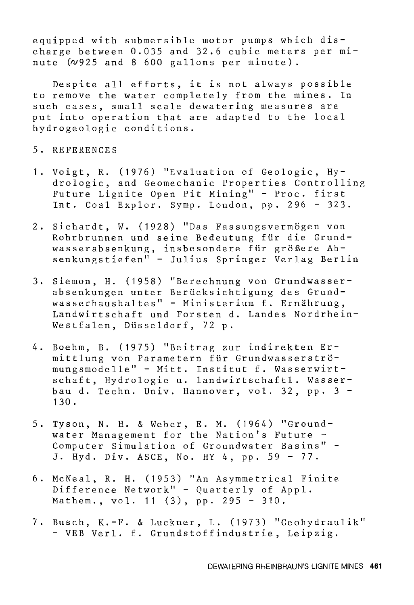equipped with submersible motor pumps which discharge between 0.035 and 32.6 cubic meters per minute  $(\nu$ 925 and 8 600 gallons per minute).

Despite all efforts, it is not always possible to remove the water completely from the mines. In such cases, small scale dewatering measures are put into operation that are adapted to the local hydrogeologic conditions.

# 5. REFERENCES

- 1. Voigt, R. (1976) "Evaluation of Geologic, Hydrologic, and Geomechanic Properties Controlling Future Lignite Open Pit Mining" - Proc. first Int. Coal Explor. Syrnp. London, pp. 296 - 323.
- 2. Sichardt, W. (1928) "Das Fassungsvermögen von Rohrbrunnen und seine Bedeutung fiir die Grundwasserabsenkung, insbesondere für größere Absenkungstiefen" - Julius Springer Verlag Berlin
- 3. Siemon, H. (1958) "Berechnung von Grundwasserabsenkungen unter Beriicksichtigung des Grundwasserhaushaltes" - Ministerium f. Ernährung, Landwirtschaft und Forsten d. Landes Nordrhein-Westfalen, Diisseldorf, 72 p.
- 4. Boehm, B. (1975) "Beitrag zur indirekten Ermittlung von Parametern für Grundwasserströmungsmodelle" - Mitt. Institut f. Wasserwirtschaft, Hydrologie u. landwirtschaftl. Wasserbau d. Techn. Univ. Hannover, vol. 32, pp. 3 - 130.
- 5. Tyson, N. H. & Weber, E. M. (1964) "Groundwater Management for the Nation's Future - Computer Simulation of Groundwater Basins" - J. Hyd. Div. ASCE, No. HY 4, pp. 59 - 77.
- 6. McNeal, R. H. (1953) "An Asymmetrical Finite Difference Network" - Quarterly of Appl. Mathem., vol. 11 (3), pp. 295 - 310.
- 7. Busch, K.-F. & Luckner, L. (1973) "Geohydraulik" - VEB Verl. f. Grundstoffindustrie, Leipzig.